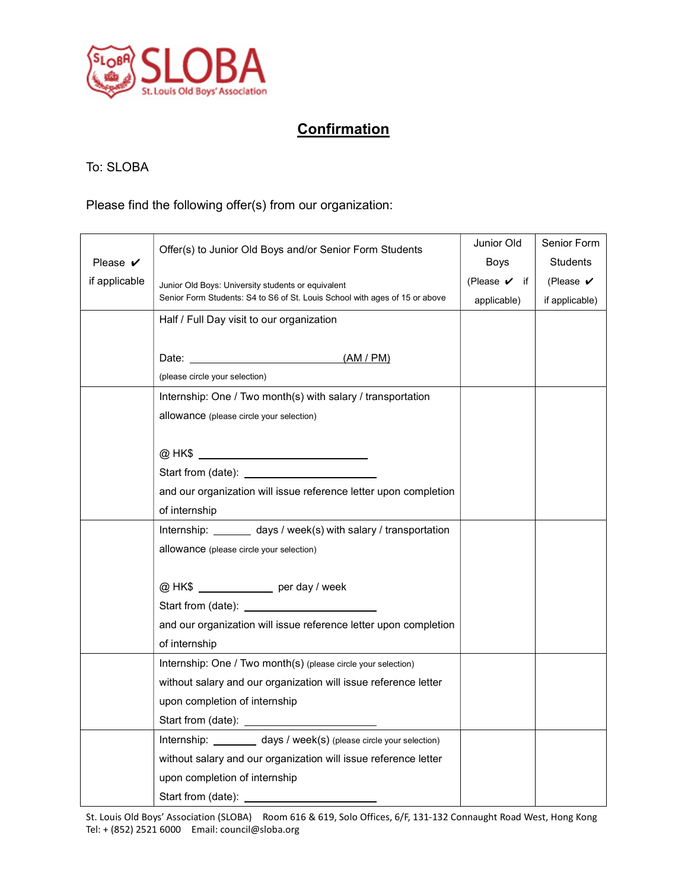

## **Confirmation**

## To: SLOBA

Please find the following offer(s) from our organization:

| Please $\boldsymbol{\nu}$ | Offer(s) to Junior Old Boys and/or Senior Form Students                                                                           | Junior Old                           | Senior Form                |
|---------------------------|-----------------------------------------------------------------------------------------------------------------------------------|--------------------------------------|----------------------------|
|                           |                                                                                                                                   | Boys                                 | <b>Students</b>            |
| if applicable             | Junior Old Boys: University students or equivalent<br>Senior Form Students: S4 to S6 of St. Louis School with ages of 15 or above | (Please $\boldsymbol{\checkmark}$ if | (Please $\boldsymbol{\nu}$ |
|                           |                                                                                                                                   | applicable)                          | if applicable)             |
|                           | Half / Full Day visit to our organization                                                                                         |                                      |                            |
|                           |                                                                                                                                   |                                      |                            |
|                           | Date: (AM / PM)                                                                                                                   |                                      |                            |
|                           | (please circle your selection)                                                                                                    |                                      |                            |
|                           | Internship: One / Two month(s) with salary / transportation                                                                       |                                      |                            |
|                           | allowance (please circle your selection)                                                                                          |                                      |                            |
|                           |                                                                                                                                   |                                      |                            |
|                           |                                                                                                                                   |                                      |                            |
|                           |                                                                                                                                   |                                      |                            |
|                           | and our organization will issue reference letter upon completion                                                                  |                                      |                            |
|                           | of internship                                                                                                                     |                                      |                            |
|                           | Internship: _______ days / week(s) with salary / transportation                                                                   |                                      |                            |
|                           | allowance (please circle your selection)                                                                                          |                                      |                            |
|                           |                                                                                                                                   |                                      |                            |
|                           | @ HK\$ ________________ per day / week                                                                                            |                                      |                            |
|                           | Start from (date): <u>_________________________</u>                                                                               |                                      |                            |
|                           | and our organization will issue reference letter upon completion                                                                  |                                      |                            |
|                           | of internship                                                                                                                     |                                      |                            |
|                           | Internship: One / Two month(s) (please circle your selection)                                                                     |                                      |                            |
|                           | without salary and our organization will issue reference letter                                                                   |                                      |                            |
|                           | upon completion of internship                                                                                                     |                                      |                            |
|                           |                                                                                                                                   |                                      |                            |
|                           | Internship: ________ days / week(s) (please circle your selection)                                                                |                                      |                            |
|                           | without salary and our organization will issue reference letter                                                                   |                                      |                            |
|                           | upon completion of internship                                                                                                     |                                      |                            |
|                           |                                                                                                                                   |                                      |                            |

St. Louis Old Boys' Association (SLOBA) Room 616 & 619, Solo Offices, 6/F, 131-132 Connaught Road West, Hong Kong Tel: + (852) 2521 6000 Email: council@sloba.org